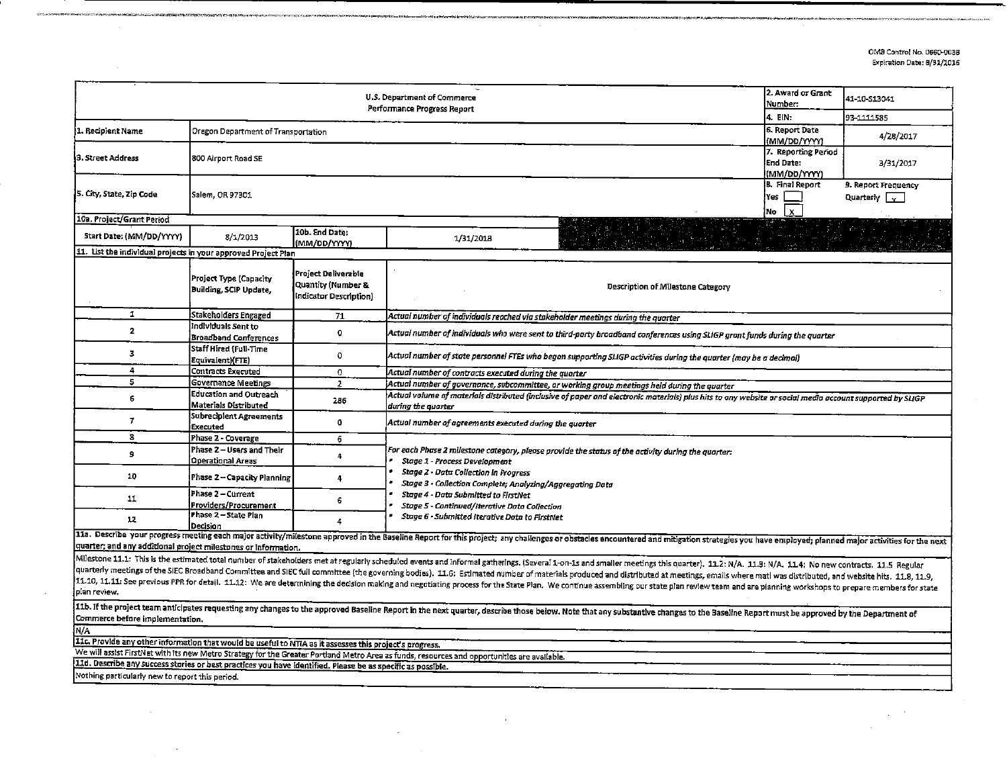OMB Control No. 0660-0038 Expiration Date: 8/31/2016

 $\sim$ 

 $\Delta \sim 0.1$ 

 $\sim$ 

|                                                                                                                                                                                                                                                                                                                                                                                                                                                                                                                                                                                                                                                                                                                    | 2. Award or Grant<br>Number:                            | 41-10-S13041                                                        |                                                                                                                                                                                                                                |  |  |  |  |  |  |  |  |  |  |
|--------------------------------------------------------------------------------------------------------------------------------------------------------------------------------------------------------------------------------------------------------------------------------------------------------------------------------------------------------------------------------------------------------------------------------------------------------------------------------------------------------------------------------------------------------------------------------------------------------------------------------------------------------------------------------------------------------------------|---------------------------------------------------------|---------------------------------------------------------------------|--------------------------------------------------------------------------------------------------------------------------------------------------------------------------------------------------------------------------------|--|--|--|--|--|--|--|--|--|--|
|                                                                                                                                                                                                                                                                                                                                                                                                                                                                                                                                                                                                                                                                                                                    |                                                         | 4. EIN:                                                             | 93-1111585                                                                                                                                                                                                                     |  |  |  |  |  |  |  |  |  |  |
| 1. Recipient Name                                                                                                                                                                                                                                                                                                                                                                                                                                                                                                                                                                                                                                                                                                  | Oregon Department of Transportation                     | 6. Report Date<br>(MM/DD/YYYY)                                      | 4/28/2017                                                                                                                                                                                                                      |  |  |  |  |  |  |  |  |  |  |
| 3. Street Address                                                                                                                                                                                                                                                                                                                                                                                                                                                                                                                                                                                                                                                                                                  | 800 Airport Road SE                                     | 7. Reporting Period<br>End Date:<br>(MM/DD/YYYY)                    | 3/31/2017                                                                                                                                                                                                                      |  |  |  |  |  |  |  |  |  |  |
| 5. City, State, Zip Code                                                                                                                                                                                                                                                                                                                                                                                                                                                                                                                                                                                                                                                                                           | Salem, OR 97301                                         | B. Final Report<br>l Yes<br>'X.<br>No                               | 9. Report Frequency<br>Quarterly $\vert \downarrow$                                                                                                                                                                            |  |  |  |  |  |  |  |  |  |  |
| 10a, Project/Grant Period                                                                                                                                                                                                                                                                                                                                                                                                                                                                                                                                                                                                                                                                                          |                                                         |                                                                     |                                                                                                                                                                                                                                |  |  |  |  |  |  |  |  |  |  |
| 5tart Date: (MM/DD/YYYY)                                                                                                                                                                                                                                                                                                                                                                                                                                                                                                                                                                                                                                                                                           | 8/1/2013                                                | 10b. End Date:<br>(MM/DD/YYYY)                                      | 1/31/2018                                                                                                                                                                                                                      |  |  |  |  |  |  |  |  |  |  |
| 11. List the individual projects in your approved Project Plan                                                                                                                                                                                                                                                                                                                                                                                                                                                                                                                                                                                                                                                     |                                                         |                                                                     |                                                                                                                                                                                                                                |  |  |  |  |  |  |  |  |  |  |
|                                                                                                                                                                                                                                                                                                                                                                                                                                                                                                                                                                                                                                                                                                                    | Project Type (Capacity<br><b>Building, SCIP Update,</b> | Project Deliverable<br>Quantity (Number &<br>Indicator Description) | Description of Milestone Category                                                                                                                                                                                              |  |  |  |  |  |  |  |  |  |  |
| 1                                                                                                                                                                                                                                                                                                                                                                                                                                                                                                                                                                                                                                                                                                                  | Stakeholders Engaged                                    | 71                                                                  | Actual number of individuals reached via stakeholder meetings during the quarter                                                                                                                                               |  |  |  |  |  |  |  |  |  |  |
| $\overline{\mathbf{2}}$                                                                                                                                                                                                                                                                                                                                                                                                                                                                                                                                                                                                                                                                                            | Individuals Sent to<br><b>Broadband Conferences</b>     | $\mathbf 0$                                                         | Actual number of individuals who were sent to third-party broadband conferences using SLIGP grant funds during the quarter                                                                                                     |  |  |  |  |  |  |  |  |  |  |
| з                                                                                                                                                                                                                                                                                                                                                                                                                                                                                                                                                                                                                                                                                                                  | Staff Hired (Full-Time<br>Equivalent)(FTE)              | 0                                                                   | Actual number of state personnel FTEs who began supporting SLIGP activities during the quarter (may be a decimal)                                                                                                              |  |  |  |  |  |  |  |  |  |  |
| 4                                                                                                                                                                                                                                                                                                                                                                                                                                                                                                                                                                                                                                                                                                                  | Contracts Executed                                      | 0                                                                   | Actual number of contracts executed during the quarter                                                                                                                                                                         |  |  |  |  |  |  |  |  |  |  |
| 5                                                                                                                                                                                                                                                                                                                                                                                                                                                                                                                                                                                                                                                                                                                  | Governance Meetings                                     | $\mathbf{2}$                                                        | Actual number of governance, subcommittee, or working group meetings held during the quarter                                                                                                                                   |  |  |  |  |  |  |  |  |  |  |
| 6                                                                                                                                                                                                                                                                                                                                                                                                                                                                                                                                                                                                                                                                                                                  | <b>Education and Outreach</b><br>Materials Distributed  | 286                                                                 | Actual valume of materials distributed (inclusive of paper and electronic materials) plus hits to any website or social media account supported by SLIGP<br>during the quarter                                                 |  |  |  |  |  |  |  |  |  |  |
| 7                                                                                                                                                                                                                                                                                                                                                                                                                                                                                                                                                                                                                                                                                                                  | Subrecipient Agreements<br>Executed                     | $\bullet$                                                           | Actual number of agreements executed during the quarter                                                                                                                                                                        |  |  |  |  |  |  |  |  |  |  |
| 8                                                                                                                                                                                                                                                                                                                                                                                                                                                                                                                                                                                                                                                                                                                  | Phase 2 - Coverage                                      | 6                                                                   |                                                                                                                                                                                                                                |  |  |  |  |  |  |  |  |  |  |
| <b>s</b>                                                                                                                                                                                                                                                                                                                                                                                                                                                                                                                                                                                                                                                                                                           | Phase 2 - Users and Their<br>Operational Areas          | 4                                                                   | For each Phase 2 milestone category, please provide the status of the activity during the quarter:<br>Stage 1 - Process Development                                                                                            |  |  |  |  |  |  |  |  |  |  |
| 10                                                                                                                                                                                                                                                                                                                                                                                                                                                                                                                                                                                                                                                                                                                 | Phase 2 - Capacity Planning                             | $\ddot{\phantom{1}}$                                                | Stage 2 - Data Collection in Progress<br>Stage 3 - Collection Complete; Analyzing/Aggregating Data                                                                                                                             |  |  |  |  |  |  |  |  |  |  |
| 11                                                                                                                                                                                                                                                                                                                                                                                                                                                                                                                                                                                                                                                                                                                 | Phase 2 – Current<br> Froviders/Procurement             | 6                                                                   | Stage 4 - Data Submitted to FirstNet<br>Stage 5 - Continued/Iterative Data Collection                                                                                                                                          |  |  |  |  |  |  |  |  |  |  |
| 12                                                                                                                                                                                                                                                                                                                                                                                                                                                                                                                                                                                                                                                                                                                 | Phase 2 - State Plan<br>lDecision.                      | 4                                                                   | Stage 6 - Submitted Iterative Data to FirstNet                                                                                                                                                                                 |  |  |  |  |  |  |  |  |  |  |
| quarter; and any additional project milestones or information.                                                                                                                                                                                                                                                                                                                                                                                                                                                                                                                                                                                                                                                     |                                                         |                                                                     | 11a. Describe your progress meeting each major activity/milestone approved in the Baseline Report for this project; any challenges or obstacles encountered and mitigation strategies you have employed; planned major activit |  |  |  |  |  |  |  |  |  |  |
| Milestone 11.1: This is the estimated total number of stakeholders met at regularly scheduled events and informal gatherings. (Several 1-on-1s and smaller meetings this quarter). 11.2: N/A. 11.3: N/A. 11.4: No new contract<br>quarterly meetings of the SIEC Broadband Committee and SIEC full committee (the governing bodies). 11.6; Estimated number of materials produced and distributed at meetings, emails where matl was distributed, and website hi<br>11.10, 11.11: See previous PPR for detail. 11.12: We are determining the decision making and negotiating process for the State Plan. We continue assembling our state plan review team and are planning workshops to prepare m<br>plan review. |                                                         |                                                                     |                                                                                                                                                                                                                                |  |  |  |  |  |  |  |  |  |  |
| Commerce before implementation.                                                                                                                                                                                                                                                                                                                                                                                                                                                                                                                                                                                                                                                                                    |                                                         |                                                                     | 11b. If the project team anticipates requesting any changes to the approved Baseline Report in the next quarter, describe those below. Note that any substantive changes to the Baseline Report must be approved by the Depart |  |  |  |  |  |  |  |  |  |  |
| N/A                                                                                                                                                                                                                                                                                                                                                                                                                                                                                                                                                                                                                                                                                                                |                                                         |                                                                     |                                                                                                                                                                                                                                |  |  |  |  |  |  |  |  |  |  |
| 11c. Provide any other information that would be useful to NTIA as it assesses this project's progress.                                                                                                                                                                                                                                                                                                                                                                                                                                                                                                                                                                                                            |                                                         |                                                                     |                                                                                                                                                                                                                                |  |  |  |  |  |  |  |  |  |  |
| We will assist FirstNet with its new Metro Strategy for the Greater Portland Metro Area as funds, resources and opportunities are available.                                                                                                                                                                                                                                                                                                                                                                                                                                                                                                                                                                       |                                                         |                                                                     |                                                                                                                                                                                                                                |  |  |  |  |  |  |  |  |  |  |
| 11d. Describe any success stories or best practices you have identified. Please be as specific as possible.                                                                                                                                                                                                                                                                                                                                                                                                                                                                                                                                                                                                        |                                                         |                                                                     |                                                                                                                                                                                                                                |  |  |  |  |  |  |  |  |  |  |
| Nothing particularly new to report this period.                                                                                                                                                                                                                                                                                                                                                                                                                                                                                                                                                                                                                                                                    |                                                         |                                                                     |                                                                                                                                                                                                                                |  |  |  |  |  |  |  |  |  |  |
|                                                                                                                                                                                                                                                                                                                                                                                                                                                                                                                                                                                                                                                                                                                    |                                                         |                                                                     |                                                                                                                                                                                                                                |  |  |  |  |  |  |  |  |  |  |

 $\sim 100$ 

 $\sim$ 

.<br>Alam aya shekara ta ƙasar I

 $\mathcal{L}$ 

 $\lambda$ 

:<br>http://det/internation/2017/01/02/2012/http://det/play/anti-rapped/frequency-related reversionships compared t